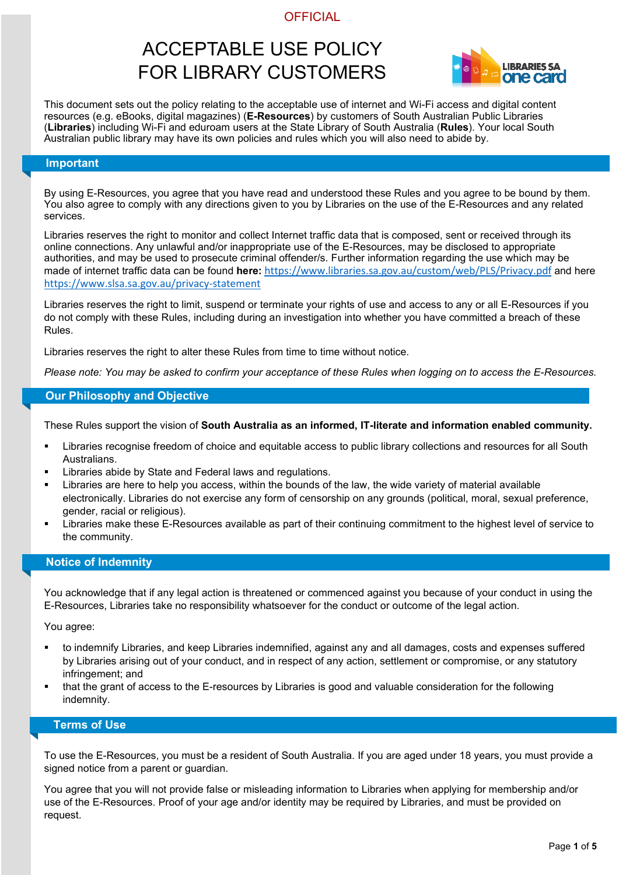# ACCEPTABLE USE POLICY FOR LIBRARY CUSTOMERS



This document sets out the policy relating to the acceptable use of internet and Wi-Fi access and digital content resources (e.g. eBooks, digital magazines) (**E-Resources**) by customers of South Australian Public Libraries (**Libraries**) including Wi-Fi and eduroam users at the State Library of South Australia (**Rules**). Your local South Australian public library may have its own policies and rules which you will also need to abide by.

#### **Important**

By using E-Resources, you agree that you have read and understood these Rules and you agree to be bound by them. You also agree to comply with any directions given to you by Libraries on the use of the E-Resources and any related services.

Libraries reserves the right to monitor and collect Internet traffic data that is composed, sent or received through its online connections. Any unlawful and/or inappropriate use of the E-Resources, may be disclosed to appropriate authorities, and may be used to prosecute criminal offender/s. Further information regarding the use which may be made of internet traffic data can be found **here:** <https://www.libraries.sa.gov.au/custom/web/PLS/Privacy.pdf> and here <https://www.slsa.sa.gov.au/privacy-statement>

Libraries reserves the right to limit, suspend or terminate your rights of use and access to any or all E-Resources if you do not comply with these Rules, including during an investigation into whether you have committed a breach of these Rules.

Libraries reserves the right to alter these Rules from time to time without notice.

*Please note: You may be asked to confirm your acceptance of these Rules when logging on to access the E-Resources.*

#### **Our Philosophy and Objective**

These Rules support the vision of **South Australia as an informed, IT-literate and information enabled community.**

- Libraries recognise freedom of choice and equitable access to public library collections and resources for all South Australians.
- Libraries abide by State and Federal laws and regulations.
- Libraries are here to help you access, within the bounds of the law, the wide variety of material available electronically. Libraries do not exercise any form of censorship on any grounds (political, moral, sexual preference, gender, racial or religious).
- Libraries make these E-Resources available as part of their continuing commitment to the highest level of service to the community.

#### **Notice of Indemnity**

You acknowledge that if any legal action is threatened or commenced against you because of your conduct in using the E-Resources, Libraries take no responsibility whatsoever for the conduct or outcome of the legal action.

You agree:

- to indemnify Libraries, and keep Libraries indemnified, against any and all damages, costs and expenses suffered by Libraries arising out of your conduct, and in respect of any action, settlement or compromise, or any statutory infringement; and
- that the grant of access to the E-resources by Libraries is good and valuable consideration for the following indemnity.

### **Terms of Use**

To use the E-Resources, you must be a resident of South Australia. If you are aged under 18 years, you must provide a signed notice from a parent or guardian.

You agree that you will not provide false or misleading information to Libraries when applying for membership and/or use of the E-Resources. Proof of your age and/or identity may be required by Libraries, and must be provided on request.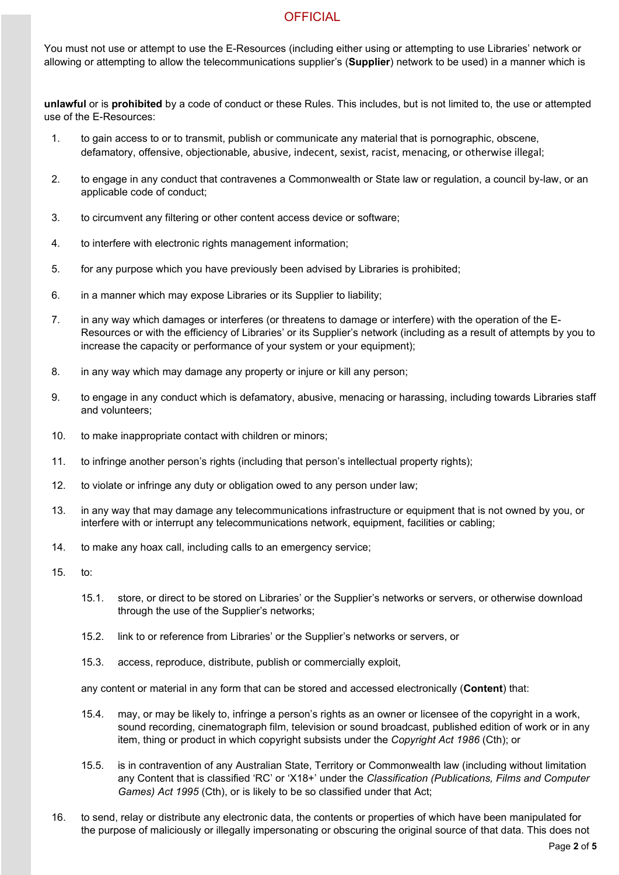You must not use or attempt to use the E-Resources (including either using or attempting to use Libraries' network or allowing or attempting to allow the telecommunications supplier's (**Supplier**) network to be used) in a manner which is

**unlawful** or is **prohibited** by a code of conduct or these Rules. This includes, but is not limited to, the use or attempted use of the E-Resources:

- 1. to gain access to or to transmit, publish or communicate any material that is pornographic, obscene, defamatory, offensive, objectionable, abusive, indecent, sexist, racist, menacing, or otherwise illegal;
- 2. to engage in any conduct that contravenes a Commonwealth or State law or regulation, a council by-law, or an applicable code of conduct;
- 3. to circumvent any filtering or other content access device or software;
- 4. to interfere with electronic rights management information;
- 5. for any purpose which you have previously been advised by Libraries is prohibited;
- 6. in a manner which may expose Libraries or its Supplier to liability;
- 7. in any way which damages or interferes (or threatens to damage or interfere) with the operation of the E-Resources or with the efficiency of Libraries' or its Supplier's network (including as a result of attempts by you to increase the capacity or performance of your system or your equipment);
- 8. in any way which may damage any property or injure or kill any person;
- 9. to engage in any conduct which is defamatory, abusive, menacing or harassing, including towards Libraries staff and volunteers;
- 10. to make inappropriate contact with children or minors;
- 11. to infringe another person's rights (including that person's intellectual property rights);
- 12. to violate or infringe any duty or obligation owed to any person under law;
- 13. in any way that may damage any telecommunications infrastructure or equipment that is not owned by you, or interfere with or interrupt any telecommunications network, equipment, facilities or cabling;
- 14. to make any hoax call, including calls to an emergency service;
- 15. to:
	- 15.1. store, or direct to be stored on Libraries' or the Supplier's networks or servers, or otherwise download through the use of the Supplier's networks;
	- 15.2. link to or reference from Libraries' or the Supplier's networks or servers, or
	- 15.3. access, reproduce, distribute, publish or commercially exploit,

any content or material in any form that can be stored and accessed electronically (**Content**) that:

- 15.4. may, or may be likely to, infringe a person's rights as an owner or licensee of the copyright in a work, sound recording, cinematograph film, television or sound broadcast, published edition of work or in any item, thing or product in which copyright subsists under the *Copyright Act 1986* (Cth); or
- 15.5. is in contravention of any Australian State, Territory or Commonwealth law (including without limitation any Content that is classified 'RC' or 'X18+' under the *Classification (Publications, Films and Computer Games) Act 1995* (Cth), or is likely to be so classified under that Act;
- 16. to send, relay or distribute any electronic data, the contents or properties of which have been manipulated for the purpose of maliciously or illegally impersonating or obscuring the original source of that data. This does not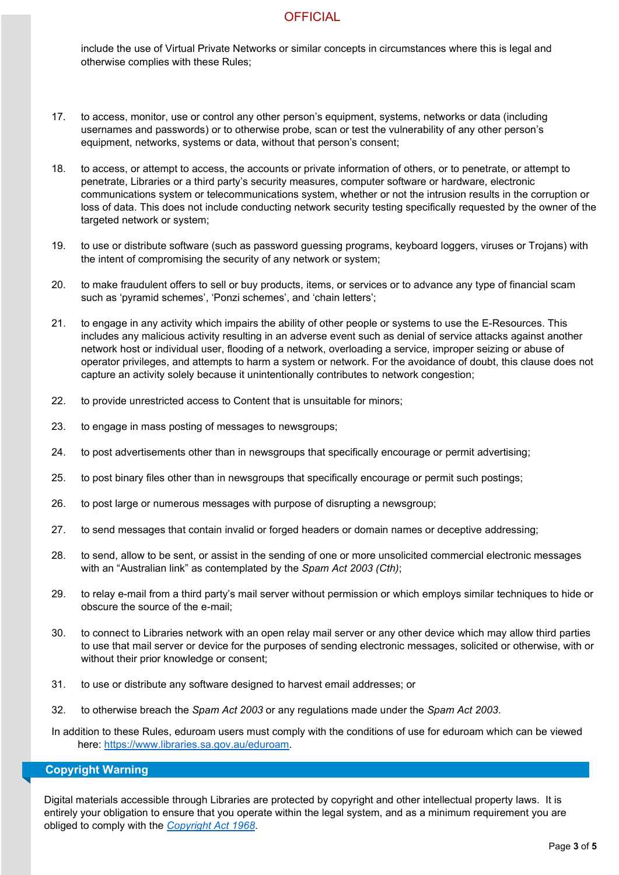include the use of Virtual Private Networks or similar concepts in circumstances where this is legal and otherwise complies with these Rules;

- 17. to access, monitor, use or control any other person's equipment, systems, networks or data (including usernames and passwords) or to otherwise probe, scan or test the vulnerability of any other person's equipment, networks, systems or data, without that person's consent;
- 18. to access, or attempt to access, the accounts or private information of others, or to penetrate, or attempt to penetrate, Libraries or a third party's security measures, computer software or hardware, electronic communications system or telecommunications system, whether or not the intrusion results in the corruption or loss of data. This does not include conducting network security testing specifically requested by the owner of the targeted network or system;
- 19. to use or distribute software (such as password guessing programs, keyboard loggers, viruses or Trojans) with the intent of compromising the security of any network or system;
- 20. to make fraudulent offers to sell or buy products, items, or services or to advance any type of financial scam such as 'pyramid schemes', 'Ponzi schemes', and 'chain letters';
- 21. to engage in any activity which impairs the ability of other people or systems to use the E-Resources. This includes any malicious activity resulting in an adverse event such as denial of service attacks against another network host or individual user, flooding of a network, overloading a service, improper seizing or abuse of operator privileges, and attempts to harm a system or network. For the avoidance of doubt, this clause does not capture an activity solely because it unintentionally contributes to network congestion;
- 22. to provide unrestricted access to Content that is unsuitable for minors;
- 23. to engage in mass posting of messages to newsgroups;
- 24. to post advertisements other than in newsgroups that specifically encourage or permit advertising;
- 25. to post binary files other than in newsgroups that specifically encourage or permit such postings;
- 26. to post large or numerous messages with purpose of disrupting a newsgroup;
- 27. to send messages that contain invalid or forged headers or domain names or deceptive addressing;
- 28. to send, allow to be sent, or assist in the sending of one or more unsolicited commercial electronic messages with an "Australian link" as contemplated by the *Spam Act 2003 (Cth)*;
- 29. to relay e-mail from a third party's mail server without permission or which employs similar techniques to hide or obscure the source of the e-mail;
- 30. to connect to Libraries network with an open relay mail server or any other device which may allow third parties to use that mail server or device for the purposes of sending electronic messages, solicited or otherwise, with or without their prior knowledge or consent;
- 31. to use or distribute any software designed to harvest email addresses; or
- 32. to otherwise breach the *Spam Act 2003* or any regulations made under the *Spam Act 2003*.
- In addition to these Rules, eduroam users must comply with the conditions of use for eduroam which can be viewed here: [https://www.libraries.sa.gov.au/eduroam.](https://www.libraries.sa.gov.au/eduroam)

#### **Copyright Warning**

Digital materials accessible through Libraries are protected by copyright and other intellectual property laws. It is entirely your obligation to ensure that you operate within the legal system, and as a minimum requirement you are obliged to comply with the *[Copyright Act 1968](https://www.legislation.gov.au/Series/C1968A00063)*.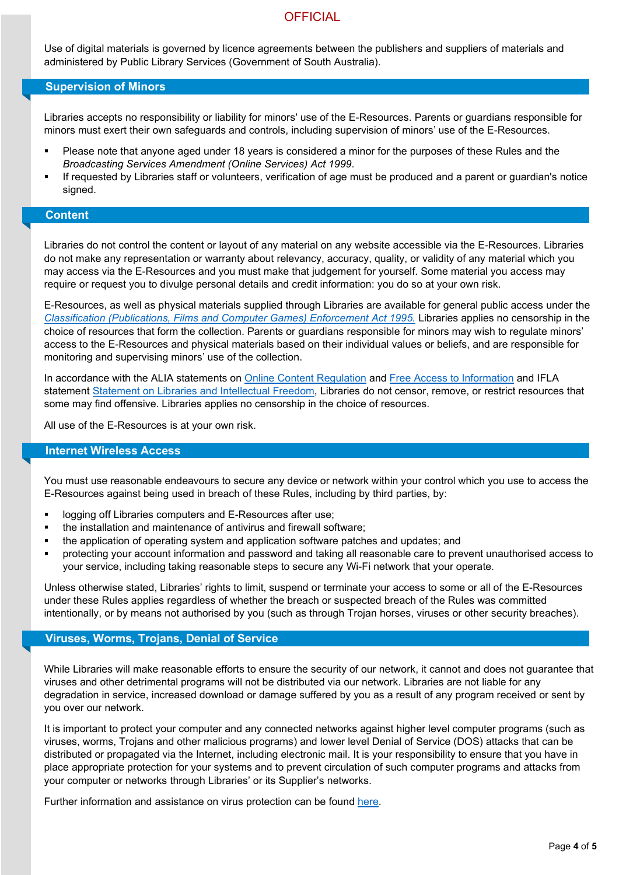Use of digital materials is governed by licence agreements between the publishers and suppliers of materials and administered by Public Library Services (Government of South Australia).

#### **Supervision of Minors**

Libraries accepts no responsibility or liability for minors' use of the E-Resources. Parents or guardians responsible for minors must exert their own safeguards and controls, including supervision of minors' use of the E-Resources.

- Please note that anyone aged under 18 years is considered a minor for the purposes of these Rules and the *Broadcasting Services Amendment (Online Services) Act 1999*.
- If requested by Libraries staff or volunteers, verification of age must be produced and a parent or guardian's notice signed.

## **Content**

Libraries do not control the content or layout of any material on any website accessible via the E-Resources. Libraries do not make any representation or warranty about relevancy, accuracy, quality, or validity of any material which you may access via the E-Resources and you must make that judgement for yourself. Some material you access may require or request you to divulge personal details and credit information: you do so at your own risk.

E-Resources, as well as physical materials supplied through Libraries are available for general public access under the *[Classification \(Publications, Films and Computer Games\) Enforcement Act 1995.](https://www.legislation.gov.au/Details/C2017C00267)* Libraries applies no censorship in the choice of resources that form the collection. Parents or guardians responsible for minors may wish to regulate minors' access to the E-Resources and physical materials based on their individual values or beliefs, and are responsible for monitoring and supervising minors' use of the collection.

In accordance with the ALIA statements on [Online Content Regulation](https://www.alia.org.au/about-alia/policies-standards-and-guidelines/alia-online-content-regulation) and [Free Access to Information](http://www.alia.org.au/about-alia/policies-standards-and-guidelines/statement-free-access-information) and IFLA statement [Statement on Libraries and Intellectual Freedom,](https://www.ifla.org/publications/ifla-statement-on-libraries-and-intellectual-freedom) Libraries do not censor, remove, or restrict resources that some may find offensive. Libraries applies no censorship in the choice of resources.

All use of the E-Resources is at your own risk.

#### **Internet Wireless Access**

You must use reasonable endeavours to secure any device or network within your control which you use to access the E-Resources against being used in breach of these Rules, including by third parties, by:

- **IDOGGING OF Libraries computers and E-Resources after use;**
- the installation and maintenance of antivirus and firewall software;
- the application of operating system and application software patches and updates; and
- protecting your account information and password and taking all reasonable care to prevent unauthorised access to your service, including taking reasonable steps to secure any Wi-Fi network that your operate.

Unless otherwise stated, Libraries' rights to limit, suspend or terminate your access to some or all of the E-Resources under these Rules applies regardless of whether the breach or suspected breach of the Rules was committed intentionally, or by means not authorised by you (such as through Trojan horses, viruses or other security breaches).

#### **Viruses, Worms, Trojans, Denial of Service**

While Libraries will make reasonable efforts to ensure the security of our network, it cannot and does not guarantee that viruses and other detrimental programs will not be distributed via our network. Libraries are not liable for any degradation in service, increased download or damage suffered by you as a result of any program received or sent by you over our network.

It is important to protect your computer and any connected networks against higher level computer programs (such as viruses, worms, Trojans and other malicious programs) and lower level Denial of Service (DOS) attacks that can be distributed or propagated via the Internet, including electronic mail. It is your responsibility to ensure that you have in place appropriate protection for your systems and to prevent circulation of such computer programs and attacks from your computer or networks through Libraries' or its Supplier's networks.

Further information and assistance on virus protection can be found [here.](https://www.sei.cmu.edu/about/divisions/cert/index.cfm)